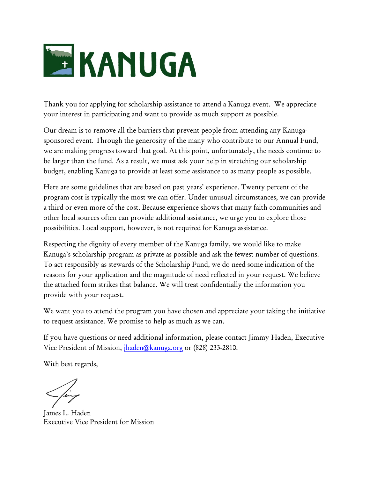

Thank you for applying for scholarship assistance to attend a Kanuga event. We appreciate your interest in participating and want to provide as much support as possible.

Our dream is to remove all the barriers that prevent people from attending any Kanugasponsored event. Through the generosity of the many who contribute to our Annual Fund, we are making progress toward that goal. At this point, unfortunately, the needs continue to be larger than the fund. As a result, we must ask your help in stretching our scholarship budget, enabling Kanuga to provide at least some assistance to as many people as possible.

Here are some guidelines that are based on past years' experience. Twenty percent of the program cost is typically the most we can offer. Under unusual circumstances, we can provide a third or even more of the cost. Because experience shows that many faith communities and other local sources often can provide additional assistance, we urge you to explore those possibilities. Local support, however, is not required for Kanuga assistance.

Respecting the dignity of every member of the Kanuga family, we would like to make Kanuga's scholarship program as private as possible and ask the fewest number of questions. To act responsibly as stewards of the Scholarship Fund, we do need some indication of the reasons for your application and the magnitude of need reflected in your request. We believe the attached form strikes that balance. We will treat confidentially the information you provide with your request.

We want you to attend the program you have chosen and appreciate your taking the initiative to request assistance. We promise to help as much as we can.

If you have questions or need additional information, please contact Jimmy Haden, Executive Vice President of Mission, [jhaden@kanuga.org](mailto:jhaden@kanuga.org) or (828) 233-2810.

With best regards,

James L. Haden Executive Vice President for Mission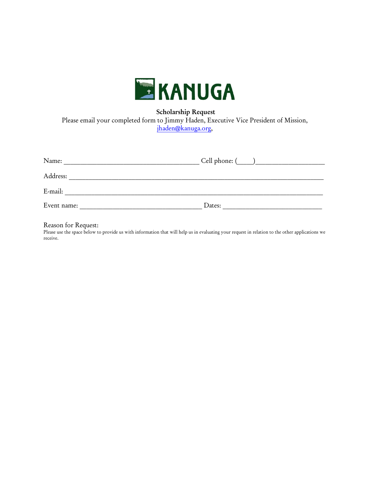

Scholarship Request

Please email your completed form to Jimmy Haden, Executive Vice President of Mission,

[jhaden@kanuga.org,](mailto:jhaden@kanuga.org)

| Name:       | Cell phone: ( |
|-------------|---------------|
| Address:    |               |
| E-mail:     |               |
| Event name: | Dates:        |

## Reason for Request:

Please use the space below to provide us with information that will help us in evaluating your request in relation to the other applications we receive.